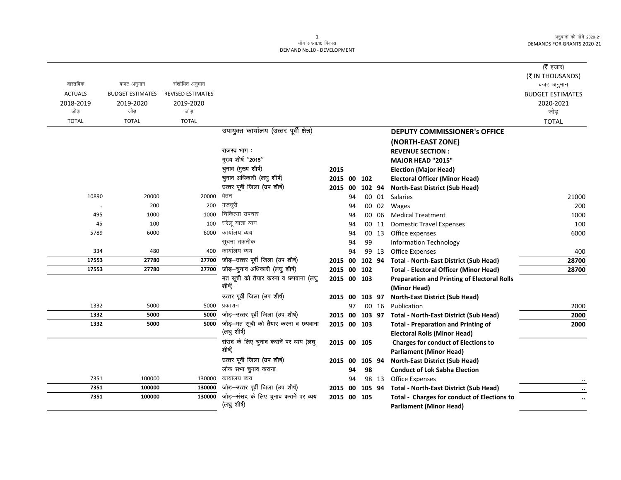|                |                         |                          |                                                      |                |    |        |       |                                                    | ( $\bar{\tau}$ हजार)    |
|----------------|-------------------------|--------------------------|------------------------------------------------------|----------------|----|--------|-------|----------------------------------------------------|-------------------------|
|                |                         |                          |                                                      |                |    |        |       |                                                    | (₹ IN THOUSANDS)        |
| वास्तविक       | बजट अनुमान              | संशोधित अनुमान           |                                                      |                |    |        |       |                                                    | बजट अनुमान              |
| <b>ACTUALS</b> | <b>BUDGET ESTIMATES</b> | <b>REVISED ESTIMATES</b> |                                                      |                |    |        |       |                                                    | <b>BUDGET ESTIMATES</b> |
| 2018-2019      | 2019-2020               | 2019-2020                |                                                      |                |    |        |       |                                                    | 2020-2021               |
| जोड            | जोड                     | जोड़                     |                                                      |                |    |        |       |                                                    | जोड                     |
| <b>TOTAL</b>   | <b>TOTAL</b>            | <b>TOTAL</b>             |                                                      |                |    |        |       |                                                    | <b>TOTAL</b>            |
|                |                         |                          | उपायुक्त कार्यालय (उत्तर पूर्वी क्षेत्र)             |                |    |        |       | <b>DEPUTY COMMISSIONER's OFFICE</b>                |                         |
|                |                         |                          |                                                      |                |    |        |       | (NORTH-EAST ZONE)                                  |                         |
|                |                         |                          | राजस्व भाग:                                          |                |    |        |       | <b>REVENUE SECTION:</b>                            |                         |
|                |                         |                          | मुख्य शीर्ष "2015"                                   |                |    |        |       | <b>MAJOR HEAD "2015"</b>                           |                         |
|                |                         |                          | चुनाव (मुख्य शीर्ष)                                  | 2015           |    |        |       | <b>Election (Major Head)</b>                       |                         |
|                |                         |                          | चुनाव अधिकारी (लघु शीर्ष)                            | 2015 00        |    | 102    |       | <b>Electoral Officer (Minor Head)</b>              |                         |
|                |                         |                          | उत्तर पूर्वी जिला (उप शीर्ष)                         | 2015 00        |    | 102 94 |       | <b>North-East District (Sub Head)</b>              |                         |
| 10890          | 20000                   | 20000                    | वेतन                                                 |                | 94 |        | 00 01 | Salaries                                           | 21000                   |
| $\ldots$       | 200                     | 200                      | मजदूरी                                               |                | 94 |        | 00 02 | Wages                                              | 200                     |
| 495            | 1000                    | 1000                     | चिकित्सा उपचार                                       |                | 94 |        | 00 06 | <b>Medical Treatment</b>                           | 1000                    |
| 45             | 100                     | 100                      | घरेलू यात्रा व्यय                                    |                | 94 |        | 00 11 | <b>Domestic Travel Expenses</b>                    | 100                     |
| 5789           | 6000                    | 6000                     | कार्यालय व्यय                                        |                | 94 |        | 00 13 | Office expenses                                    | 6000                    |
|                |                         |                          | सूचना तकनीक                                          |                | 94 | 99     |       | <b>Information Technology</b>                      |                         |
| 334            | 480                     | 400                      | कार्यालय व्यय                                        |                | 94 |        | 99 13 | <b>Office Expenses</b>                             | 400                     |
| 17553          | 27780                   | 27700                    | जोड़-उत्तर पूर्वी जिला (उप शीर्ष)                    | 2015 00 102 94 |    |        |       | <b>Total - North-East District (Sub Head)</b>      | 28700                   |
| 17553          | 27780                   | 27700                    | जोड़-चुनाव अधिकारी (लघु शीर्ष)                       | 2015 00 102    |    |        |       | <b>Total - Electoral Officer (Minor Head)</b>      | 28700                   |
|                |                         |                          | मत सूची को तैयार करना व छपवाना (लघु                  | 2015 00 103    |    |        |       | <b>Preparation and Printing of Electoral Rolls</b> |                         |
|                |                         |                          | शीर्ष)                                               |                |    |        |       | (Minor Head)                                       |                         |
|                |                         |                          | उत्तर पूर्वी जिला (उप शीर्ष)                         | 2015 00 103 97 |    |        |       | <b>North-East District (Sub Head)</b>              |                         |
| 1332           | 5000                    | 5000                     | प्रकाशन                                              |                | 97 |        | 00 16 | Publication                                        | 2000                    |
| 1332           | 5000                    | 5000                     | जोड़-उत्तर पूर्वी जिला (उप शीर्ष)                    | 2015 00 103 97 |    |        |       | <b>Total - North-East District (Sub Head)</b>      | 2000                    |
| 1332           | 5000                    | 5000                     | जोड़-मत सूची को तैयार करना व छपवाना                  | 2015 00 103    |    |        |       | <b>Total - Preparation and Printing of</b>         | 2000                    |
|                |                         |                          | (लघु शीर्ष)                                          |                |    |        |       | <b>Electoral Rolls (Minor Head)</b>                |                         |
|                |                         |                          | संसद के लिए चुनाव करानें पर व्यय (लघु                | 2015 00 105    |    |        |       | <b>Charges for conduct of Elections to</b>         |                         |
|                |                         |                          | शीर्ष)                                               |                |    |        |       | <b>Parliament (Minor Head)</b>                     |                         |
|                |                         |                          | उत्तर पूर्वी जिला (उप शीर्ष)                         | 2015 00        |    | 105 94 |       | <b>North-East District (Sub Head)</b>              |                         |
|                |                         |                          | लोक सभा चुनाव कराना                                  |                | 94 | 98     |       | <b>Conduct of Lok Sabha Election</b>               |                         |
| 7351           | 100000                  | 130000                   | कार्यालय व्यय                                        |                | 94 |        | 98 13 | <b>Office Expenses</b>                             |                         |
| 7351           | 100000                  | 130000                   | जोड़-उत्तर पूर्वी जिला (उप शीर्ष)                    | 2015 00 105 94 |    |        |       | <b>Total - North-East District (Sub Head)</b>      | $\cdot \cdot$           |
| 7351           | 100000                  | 130000                   | जोड़-संसद के लिए चुनाव करानें पर व्यय<br>(लघु शीर्ष) | 2015 00 105    |    |        |       | <b>Total - Charges for conduct of Elections to</b> | $\ddotsc$               |
|                |                         |                          |                                                      |                |    |        |       | <b>Parliament (Minor Head)</b>                     |                         |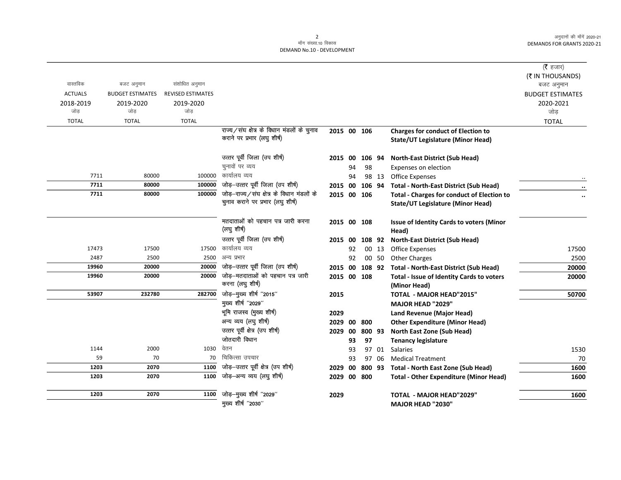$\overline{\phantom{0}}$ 

|                |                         |                          |                                            |             |    |                |       |                                                   | ( $\bar{\tau}$ हजार)<br>(₹ IN THOUSANDS) |
|----------------|-------------------------|--------------------------|--------------------------------------------|-------------|----|----------------|-------|---------------------------------------------------|------------------------------------------|
| वास्तविक       | बजट अनुमान              | संशोधित अनुमान           |                                            |             |    |                |       |                                                   | बजट अनुमान                               |
| <b>ACTUALS</b> | <b>BUDGET ESTIMATES</b> | <b>REVISED ESTIMATES</b> |                                            |             |    |                |       |                                                   | <b>BUDGET ESTIMATES</b>                  |
| 2018-2019      | 2019-2020               | 2019-2020                |                                            |             |    |                |       |                                                   | 2020-2021                                |
| जोड            | जोड                     | जोड                      |                                            |             |    |                |       |                                                   | जोड़                                     |
| <b>TOTAL</b>   | <b>TOTAL</b>            | <b>TOTAL</b>             |                                            |             |    |                |       |                                                   | <b>TOTAL</b>                             |
|                |                         |                          | राज्य/संघ क्षेत्र के विधान मंडलों के चुनाव | 2015 00 106 |    |                |       | <b>Charges for conduct of Election to</b>         |                                          |
|                |                         |                          | कराने पर प्रभार (लघु शीर्ष)                |             |    |                |       | State/UT Legislature (Minor Head)                 |                                          |
|                |                         |                          | उत्तर पूर्वी जिला (उप शीर्ष)               | 2015 00     |    | 106 94         |       | <b>North-East District (Sub Head)</b>             |                                          |
|                |                         |                          | चुनावों पर व्यय                            |             | 94 | 98             |       | Expenses on election                              |                                          |
| 7711           | 80000                   | 100000                   | कार्यालय व्यय                              |             | 94 |                | 98 13 | <b>Office Expenses</b>                            |                                          |
| 7711           | 80000                   | 100000                   | जोड़-उत्तर पूर्वी जिला (उप शीर्ष)          |             |    | 2015 00 106 94 |       | <b>Total - North-East District (Sub Head)</b>     |                                          |
| 7711           | 80000                   | 100000                   | जोड़-राज्य/संघ क्षेत्र के विधान मंडलों के  |             |    | 2015 00 106    |       | <b>Total - Charges for conduct of Election to</b> |                                          |
|                |                         |                          | चुनाव कराने पर प्रभार (लघु शीर्ष)          |             |    |                |       | State/UT Legislature (Minor Head)                 |                                          |
|                |                         |                          | मतदाताओं को पहचान पत्र जारी करना           |             |    | 2015 00 108    |       | Issue of Identity Cards to voters (Minor          |                                          |
|                |                         |                          | (लघु शीर्ष)                                |             |    |                |       | Head)                                             |                                          |
|                |                         |                          | उत्तर पूर्वी जिला (उप शीर्ष)               | 2015 00     |    | 108 92         |       | North-East District (Sub Head)                    |                                          |
| 17473          | 17500                   | 17500                    | कार्यालय व्यय                              |             | 92 |                | 00 13 | <b>Office Expenses</b>                            | 17500                                    |
| 2487           | 2500                    | 2500                     | अन्य प्रभार                                |             | 92 |                | 00 50 | <b>Other Charges</b>                              | 2500                                     |
| 19960          | 20000                   | 20000                    | जोड़-उत्तर पूर्वी जिला (उप शीर्ष)          |             |    | 2015 00 108 92 |       | <b>Total - North-East District (Sub Head)</b>     | 20000                                    |
| 19960          | 20000                   | 20000                    | जोड़-मतदाताओं को पहचान पत्र जारी           |             |    | 2015 00 108    |       | Total - Issue of Identity Cards to voters         | 20000                                    |
|                |                         |                          | करना (लघु शीर्ष)                           |             |    |                |       | (Minor Head)                                      |                                          |
| 53907          | 232780                  | 282700                   | जोड़-मुख्य शीर्ष "2015"                    | 2015        |    |                |       | <b>TOTAL - MAJOR HEAD"2015"</b>                   | 50700                                    |
|                |                         |                          | मुख्य शीर्ष "2029"                         |             |    |                |       | <b>MAJOR HEAD "2029"</b>                          |                                          |
|                |                         |                          | भूमि राजस्व (मुख्य शीर्ष)                  | 2029        |    |                |       | Land Revenue (Major Head)                         |                                          |
|                |                         |                          | अन्य व्यय (लघु शीर्ष)                      | 2029        | 00 | 800            |       | <b>Other Expenditure (Minor Head)</b>             |                                          |
|                |                         |                          | उत्तर पूर्वी क्षेत्र (उप शीर्ष)            | 2029        | 00 | 800 93         |       | North East Zone (Sub Head)                        |                                          |
|                |                         |                          | जोतदारी विधान<br>वेतन                      |             | 93 | 97             |       | <b>Tenancy legislature</b>                        |                                          |
| 1144           | 2000                    | 1030                     | चिकित्सा उपचार                             |             | 93 |                | 97 01 | Salaries                                          | 1530                                     |
| 59<br>1203     | 70<br>2070              | 70<br>1100               | जोड़-उत्तर पूर्वी क्षेत्र (उप शीर्ष)       |             | 93 | 97             | 06    | <b>Medical Treatment</b>                          | 70                                       |
| 1203           | 2070                    | 1100                     | जोड़-अन्य व्यय (लघु शीर्ष)                 | 2029        | 00 |                |       | 800 93 Total - North East Zone (Sub Head)         | 1600                                     |
|                |                         |                          |                                            |             |    | 2029 00 800    |       | <b>Total - Other Expenditure (Minor Head)</b>     | 1600                                     |
| 1203           | 2070                    | 1100                     | जोड़-मुख्य शीर्ष "2029"                    | 2029        |    |                |       | <b>TOTAL - MAJOR HEAD"2029"</b>                   | 1600                                     |
|                |                         |                          | मुख्य शीर्ष "2030"                         |             |    |                |       | <b>MAJOR HEAD "2030"</b>                          |                                          |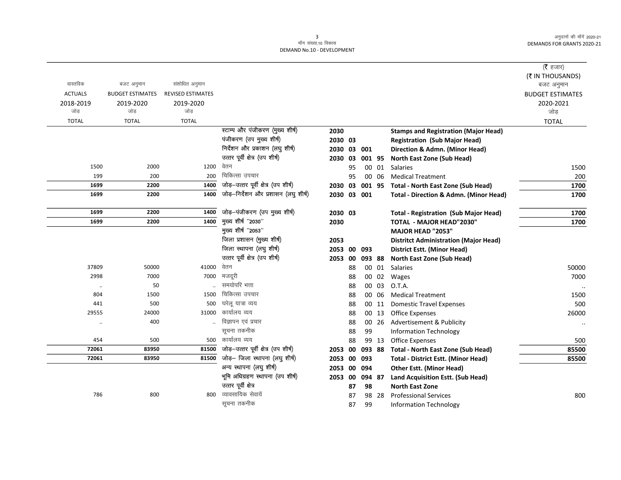|                      |                         |                          |                                      |             |    |        |       |                                                   | ( <b>रै</b> हजार)       |
|----------------------|-------------------------|--------------------------|--------------------------------------|-------------|----|--------|-------|---------------------------------------------------|-------------------------|
|                      |                         |                          |                                      |             |    |        |       |                                                   | (₹ IN THOUSANDS)        |
| वास्तविक             | बजट अनुमान              | संशोधित अनुमान           |                                      |             |    |        |       |                                                   | बजट अनुमान              |
| <b>ACTUALS</b>       | <b>BUDGET ESTIMATES</b> | <b>REVISED ESTIMATES</b> |                                      |             |    |        |       |                                                   | <b>BUDGET ESTIMATES</b> |
| 2018-2019            | 2019-2020               | 2019-2020                |                                      |             |    |        |       |                                                   | 2020-2021               |
| जोड                  | जोड                     | जोड                      |                                      |             |    |        |       |                                                   | जोड                     |
| <b>TOTAL</b>         | <b>TOTAL</b>            | <b>TOTAL</b>             |                                      |             |    |        |       |                                                   | <b>TOTAL</b>            |
|                      |                         |                          | स्टाम्प और पंजीकरण (मुख्य शीर्ष)     | 2030        |    |        |       | <b>Stamps and Registration (Major Head)</b>       |                         |
|                      |                         |                          | पंजीकरण (उप मुख्य शीर्ष)             | 2030 03     |    |        |       | <b>Registration (Sub Major Head)</b>              |                         |
|                      |                         |                          | निर्देशन और प्रकाशन (लघु शीर्ष)      | 2030 03 001 |    |        |       | Direction & Admn. (Minor Head)                    |                         |
|                      |                         |                          | उत्तर पूर्वी क्षेत्र (उप शीर्ष)      | 2030 03     |    | 001 95 |       | North East Zone (Sub Head)                        |                         |
| 1500                 | 2000                    | 1200                     | वेतन                                 |             | 95 |        | 00 01 | <b>Salaries</b>                                   | 1500                    |
| 199                  | 200                     | 200                      | चिकित्सा उपचार                       |             | 95 |        | 00 06 | <b>Medical Treatment</b>                          | 200                     |
| 1699                 | 2200                    | 1400                     | जोड़-उत्तर पूर्वी क्षेत्र (उप शीर्ष) | 2030 03     |    | 001 95 |       | <b>Total - North East Zone (Sub Head)</b>         | 1700                    |
| 1699                 | 2200                    | 1400                     | जोड़-निर्देशन और प्रशासन (लघु शीर्ष) | 2030 03 001 |    |        |       | <b>Total - Direction &amp; Admn. (Minor Head)</b> | 1700                    |
| 1699                 | 2200                    | 1400                     | जोड़-पंजीकरण (उप मुख्य शीर्ष)        | 2030 03     |    |        |       | <b>Total - Registration (Sub Major Head)</b>      | 1700                    |
| 1699                 | 2200                    | 1400                     | मुख्य शीर्ष "2030"                   | 2030        |    |        |       | TOTAL - MAJOR HEAD"2030"                          | 1700                    |
|                      |                         |                          | मुख्य शीर्ष "2053"                   |             |    |        |       | <b>MAJOR HEAD "2053"</b>                          |                         |
|                      |                         |                          | जिला प्रशासन (मुख्य शीर्ष)           | 2053        |    |        |       | <b>Distritct Administration (Major Head)</b>      |                         |
|                      |                         |                          | जिला स्थापना (लघु शीर्ष)             | 2053        | 00 | 093    |       | <b>District Estt. (Minor Head)</b>                |                         |
|                      |                         |                          | उत्तर पूर्वी क्षेत्र (उप शीर्ष)      | 2053 00     |    | 093 88 |       | North East Zone (Sub Head)                        |                         |
| 37809                | 50000                   | 41000                    | वेतन                                 |             | 88 |        | 00 01 | Salaries                                          | 50000                   |
| 2998                 | 7000                    | 7000                     | मजदूरी                               |             | 88 |        | 00 02 | Wages                                             | 7000                    |
| $\cdot$              | 50                      |                          | समयोपरि भत्ता                        |             | 88 |        | 00 03 | O.T.A.                                            |                         |
| 804                  | 1500                    | 1500                     | चिकित्सा उपचार                       |             | 88 |        | 00 06 | <b>Medical Treatment</b>                          | 1500                    |
| 441                  | 500                     | 500                      | घरेलू यात्रा व्यय                    |             | 88 |        | 00 11 | <b>Domestic Travel Expenses</b>                   | 500                     |
| 29555                | 24000                   | 31000                    | कार्यालय व्यय                        |             | 88 |        | 00 13 | <b>Office Expenses</b>                            | 26000                   |
| $\ddot{\phantom{0}}$ | 400                     |                          | विज्ञापन एवं प्रचार                  |             | 88 |        |       | 00 26 Advertisement & Publicity                   | $\ddotsc$               |
|                      |                         |                          | सूचना तकनीक                          |             | 88 | 99     |       | <b>Information Technology</b>                     |                         |
| 454                  | 500                     |                          | 500 कार्यालय व्यय                    |             | 88 |        | 99 13 | <b>Office Expenses</b>                            | 500                     |
| 72061                | 83950                   | 81500                    | जोड़-उत्तर पूर्वी क्षेत्र (उप शीर्ष) | 2053        | 00 | 093 88 |       | <b>Total - North East Zone (Sub Head)</b>         | 85500                   |
| 72061                | 83950                   | 81500                    | जोड़- जिला स्थापना (लघु शीर्ष)       | 2053 00     |    | 093    |       | <b>Total - District Estt. (Minor Head)</b>        | 85500                   |
|                      |                         |                          | अन्य स्थापना (लघु शीर्ष)             | 2053 00     |    | 094    |       | <b>Other Estt. (Minor Head)</b>                   |                         |
|                      |                         |                          | भूमि अधिग्रहण स्थापना (उप शीर्ष)     | 2053 00     |    | 094 87 |       | Land Acquisition Estt. (Sub Head)                 |                         |
|                      |                         |                          | उत्तर पूर्वी क्षेत्र                 |             | 87 | 98     |       | <b>North East Zone</b>                            |                         |
| 786                  | 800                     | 800                      | व्यावसायिक सेवायें                   |             | 87 |        | 98 28 | <b>Professional Services</b>                      | 800                     |
|                      |                         |                          | सूचना तकनीक                          |             | 87 | 99     |       | <b>Information Technology</b>                     |                         |